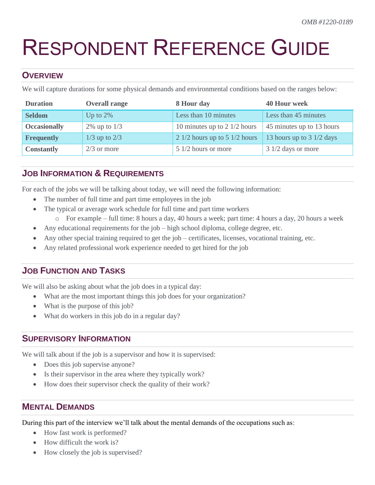# RESPONDENT REFERENCE GUIDE

#### **OVERVIEW**

We will capture durations for some physical demands and environmental conditions based on the ranges below:

| <b>Duration</b>     | <b>Overall range</b> | 8 Hour day                        | <b>40 Hour week</b>                 |
|---------------------|----------------------|-----------------------------------|-------------------------------------|
| <b>Seldom</b>       | Up to $2\%$          | Less than 10 minutes              | Less than 45 minutes                |
| <b>Occasionally</b> | $2\%$ up to $1/3$    | 10 minutes up to 2 $1/2$ hours    | 45 minutes up to 13 hours           |
| <b>Frequently</b>   | $1/3$ up to $2/3$    | 2 $1/2$ hours up to 5 $1/2$ hours | 13 hours up to $3 \frac{1}{2}$ days |
| <b>Constantly</b>   | $2/3$ or more        | $51/2$ hours or more              | $31/2$ days or more                 |

### **JOB INFORMATION & REQUIREMENTS**

For each of the jobs we will be talking about today, we will need the following information:

- The number of full time and part time employees in the job
- The typical or average work schedule for full time and part time workers
	- o For example full time: 8 hours a day, 40 hours a week; part time: 4 hours a day, 20 hours a week
- Any educational requirements for the job high school diploma, college degree, etc.
- Any other special training required to get the job certificates, licenses, vocational training, etc.
- Any related professional work experience needed to get hired for the job

## **JOB FUNCTION AND TASKS**

We will also be asking about what the job does in a typical day:

- What are the most important things this job does for your organization?
- What is the purpose of this job?
- What do workers in this job do in a regular day?

#### **SUPERVISORY INFORMATION**

We will talk about if the job is a supervisor and how it is supervised:

- Does this job supervise anyone?
- Is their supervisor in the area where they typically work?
- How does their supervisor check the quality of their work?

#### **MENTAL DEMANDS**

During this part of the interview we'll talk about the mental demands of the occupations such as:

- How fast work is performed?
- $\bullet$  How difficult the work is?
- How closely the job is supervised?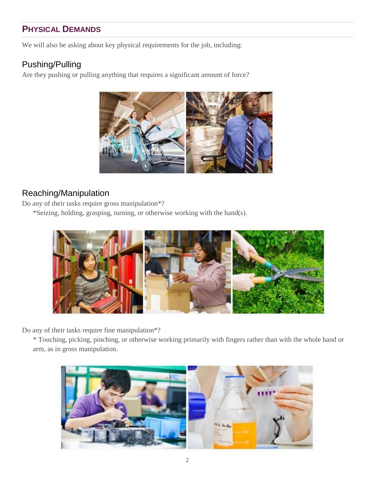# **PHYSICAL DEMANDS**

We will also be asking about key physical requirements for the job, including:

## Pushing/Pulling

Are they pushing or pulling anything that requires a significant amount of force?



## Reaching/Manipulation

Do any of their tasks require gross manipulation\*?

\*Seizing, holding, grasping, turning, or otherwise working with the hand(s).



Do any of their tasks require fine manipulation\*?

\* Touching, picking, pinching, or otherwise working primarily with fingers rather than with the whole hand or arm, as in gross manipulation.